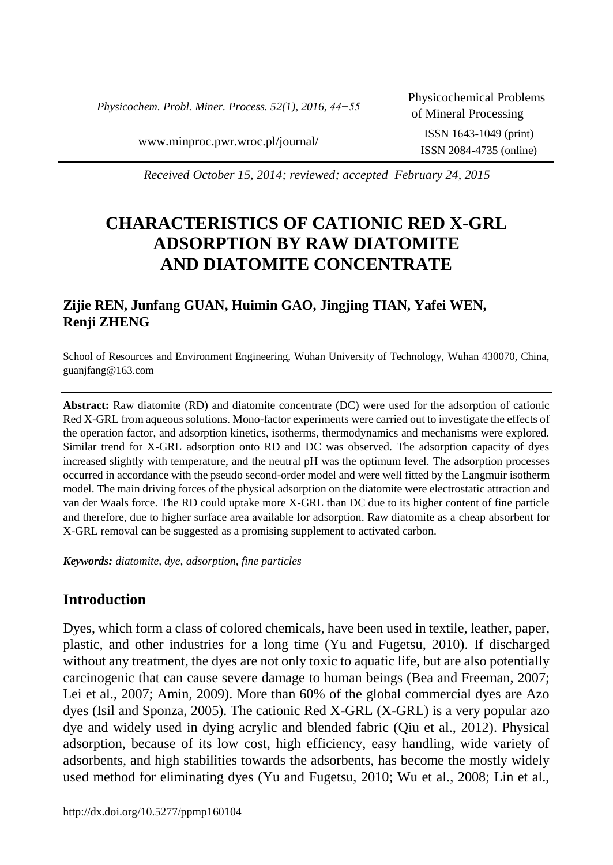*Physicochem. Probl. Miner. Process. 52(1), 2016, 44−55*

ISSN 2084-4735 (online)

www.minproc.pwr.wroc.pl/journal/ ISSN 1643-1049 (print)

*Received October 15, 2014; reviewed; accepted February 24, 2015*

# **CHARACTERISTICS OF CATIONIC RED X-GRL ADSORPTION BY RAW DIATOMITE AND DIATOMITE CONCENTRATE**

# **Zijie REN, Junfang GUAN, Huimin GAO, Jingjing TIAN, Yafei WEN, Renji ZHENG**

School of Resources and Environment Engineering, Wuhan University of Technology, Wuhan 430070, China, guanjfang@163.com

**Abstract:** Raw diatomite (RD) and diatomite concentrate (DC) were used for the adsorption of cationic Red X-GRL from aqueous solutions. Mono-factor experiments were carried out to investigate the effects of the operation factor, and adsorption kinetics, isotherms, thermodynamics and mechanisms were explored. Similar trend for X-GRL adsorption onto RD and DC was observed. The adsorption capacity of dyes increased slightly with temperature, and the neutral pH was the optimum level. The adsorption processes occurred in accordance with the pseudo second-order model and were well fitted by the Langmuir isotherm model. The main driving forces of the physical adsorption on the diatomite were electrostatic attraction and van der Waals force. The RD could uptake more X-GRL than DC due to its higher content of fine particle and therefore, due to higher surface area available for adsorption. Raw diatomite as a cheap absorbent for X-GRL removal can be suggested as a promising supplement to activated carbon.

*Keywords: diatomite, dye, adsorption, fine particles*

# **Introduction**

Dyes, which form a class of colored chemicals, have been used in textile, leather, paper, plastic, and other industries for a long time (Yu and Fugetsu, 2010). If discharged without any treatment, the dyes are not only toxic to aquatic life, but are also potentially carcinogenic that can cause severe damage to human beings (Bea and Freeman, 2007; Lei et al., 2007; Amin, 2009). More than 60% of the global commercial dyes are Azo dyes (Isil and Sponza, 2005). The cationic Red X-GRL (X-GRL) is a very popular azo dye and widely used in dying acrylic and blended fabric (Qiu et al., 2012). Physical adsorption, because of its low cost, high efficiency, easy handling, wide variety of adsorbents, and high stabilities towards the adsorbents, has become the mostly widely used method for eliminating dyes (Yu and Fugetsu, 2010; Wu et al., 2008; Lin et al.,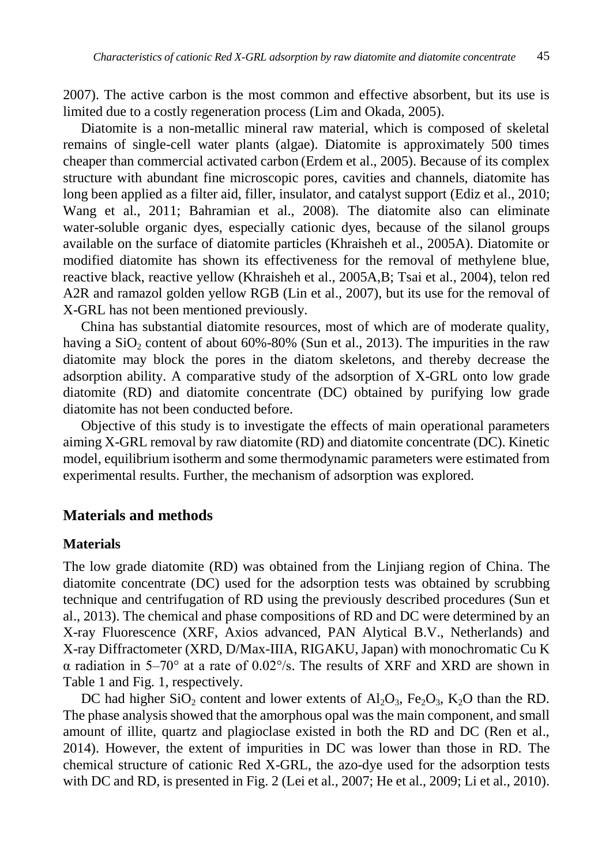2007). The active carbon is the most common and effective absorbent, but its use is limited due to a costly regeneration process (Lim and Okada, 2005).

Diatomite is a non-metallic mineral raw material, which is composed of skeletal remains of single-cell water plants (algae). Diatomite is approximately 500 times cheaper than commercial activated carbon (Erdem et al., 2005). Because of its complex structure with abundant fine microscopic pores, cavities and channels, diatomite has long been applied as a filter aid, filler, insulator, and catalyst support (Ediz et al., 2010; Wang et al., 2011; Bahramian et al., 2008). The diatomite also can eliminate water-soluble organic dyes, especially cationic dyes, because of the silanol groups available on the surface of diatomite particles (Khraisheh et al., 2005A). Diatomite or modified diatomite has shown its effectiveness for the removal of methylene blue, reactive black, reactive yellow (Khraisheh et al., 2005A,B; Tsai et al., 2004), telon red A2R and ramazol golden yellow RGB (Lin et al., 2007), but its use for the removal of X-GRL has not been mentioned previously.

China has substantial diatomite resources, most of which are of moderate quality, having a  $SiO<sub>2</sub>$  content of about 60%-80% (Sun et al., 2013). The impurities in the raw diatomite may block the pores in the diatom skeletons, and thereby decrease the adsorption ability. A comparative study of the adsorption of X-GRL onto low grade diatomite (RD) and diatomite concentrate (DC) obtained by purifying low grade diatomite has not been conducted before.

Objective of this study is to investigate the effects of main operational parameters aiming X-GRL removal by raw diatomite (RD) and diatomite concentrate (DC). Kinetic model, equilibrium isotherm and some thermodynamic parameters were estimated from experimental results. Further, the mechanism of adsorption was explored.

# **Materials and methods**

### **Materials**

The low grade diatomite (RD) was obtained from the Linjiang region of China. The diatomite concentrate (DC) used for the adsorption tests was obtained by scrubbing technique and centrifugation of RD using the previously described procedures (Sun et al., 2013). The chemical and phase compositions of RD and DC were determined by an X-ray Fluorescence (XRF, Axios advanced, PAN Alytical B.V., Netherlands) and X-ray Diffractometer (XRD, D/Max-IIIA, RIGAKU, Japan) with monochromatic Cu K  $\alpha$  radiation in 5–70° at a rate of 0.02°/s. The results of XRF and XRD are shown in Table 1 and Fig. 1, respectively.

DC had higher  $SiO_2$  content and lower extents of  $Al_2O_3$ ,  $Fe_2O_3$ ,  $K_2O$  than the RD. The phase analysis showed that the amorphous opal was the main component, and small amount of illite, quartz and plagioclase existed in both the RD and DC (Ren et al., 2014). However, the extent of impurities in DC was lower than those in RD. The chemical structure of cationic Red X-GRL, the azo-dye used for the adsorption tests with DC and RD, is presented in Fig. 2 (Lei et al., 2007; He et al., 2009; Li et al., 2010).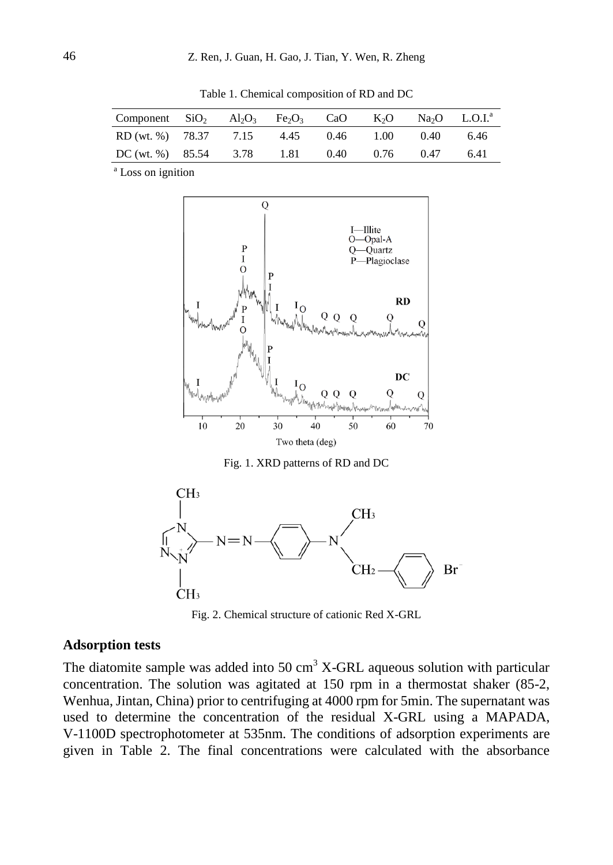| Component SiO <sub>2</sub> Al <sub>2</sub> O <sub>3</sub> Fe <sub>2</sub> O <sub>3</sub> CaO K <sub>2</sub> O Na <sub>2</sub> O L.O.I. <sup>a</sup> |  |  |             |      |      |
|-----------------------------------------------------------------------------------------------------------------------------------------------------|--|--|-------------|------|------|
| RD (wt. %) 78.37 7.15 4.45                                                                                                                          |  |  | $0.46$ 1.00 | 0.40 | 6.46 |
| DC (wt. %) $85.54$ $3.78$ $1.81$                                                                                                                    |  |  | 0.40 0.76   | 0.47 | 6.41 |

Table 1. Chemical composition of RD and DC

<sup>a</sup> Loss on ignition



Fig. 1. XRD patterns of RD and DC



Fig. 2. Chemical structure of cationic Red X-GRL

### **Adsorption tests**

The diatomite sample was added into  $50 \text{ cm}^3$  X-GRL aqueous solution with particular concentration. The solution was agitated at 150 rpm in a thermostat shaker (85-2, Wenhua, Jintan, China) prior to centrifuging at 4000 rpm for 5min. The supernatant was used to determine the concentration of the residual X-GRL using a MAPADA, V-1100D spectrophotometer at 535nm. The conditions of adsorption experiments are given in Table 2. The final concentrations were calculated with the absorbance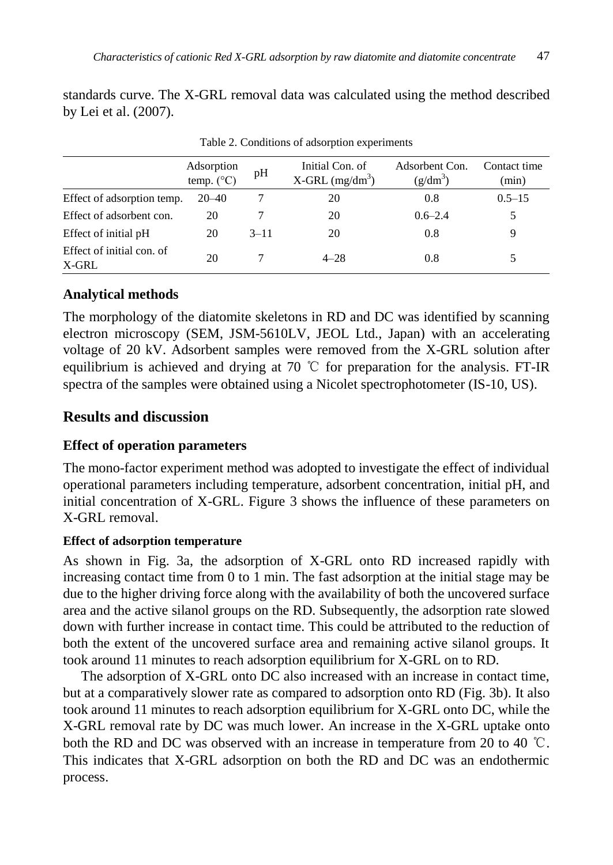standards curve. The X-GRL removal data was calculated using the method described by Lei et al. (2007).

|                                    | Adsorption<br>temp. $(^{\circ}C)$ | pH       | Initial Con. of<br>$X$ -GRL (mg/dm <sup>3</sup> ) | Adsorbent Con.<br>$(g/dm^3)$ | Contact time<br>(min) |
|------------------------------------|-----------------------------------|----------|---------------------------------------------------|------------------------------|-----------------------|
| Effect of adsorption temp.         | $20 - 40$                         |          | 20                                                | 0.8                          | $0.5 - 15$            |
| Effect of adsorbent con.           | 20                                |          | 20                                                | $0.6 - 2.4$                  |                       |
| Effect of initial pH               | 20                                | $3 - 11$ | 20                                                | 0.8                          |                       |
| Effect of initial con. of<br>X-GRL | 20                                |          | $4 - 28$                                          | 0.8                          |                       |

Table 2. Conditions of adsorption experiments

# **Analytical methods**

The morphology of the diatomite skeletons in RD and DC was identified by scanning electron microscopy (SEM, JSM-5610LV, JEOL Ltd., Japan) with an accelerating voltage of 20 kV. Adsorbent samples were removed from the X-GRL solution after equilibrium is achieved and drying at 70  $\degree$ C for preparation for the analysis. FT-IR spectra of the samples were obtained using a Nicolet spectrophotometer (IS-10, US).

# **Results and discussion**

# **Effect of operation parameters**

The mono-factor experiment method was adopted to investigate the effect of individual operational parameters including temperature, adsorbent concentration, initial pH, and initial concentration of X-GRL. Figure 3 shows the influence of these parameters on X-GRL removal.

# **Effect of adsorption temperature**

As shown in Fig. 3a, the adsorption of X-GRL onto RD increased rapidly with increasing contact time from 0 to 1 min. The fast adsorption at the initial stage may be due to the higher driving force along with the availability of both the uncovered surface area and the active silanol groups on the RD. Subsequently, the adsorption rate slowed down with further increase in contact time. This could be attributed to the reduction of both the extent of the uncovered surface area and remaining active silanol groups. It took around 11 minutes to reach adsorption equilibrium for X-GRL on to RD.

The adsorption of X-GRL onto DC also increased with an increase in contact time, but at a comparatively slower rate as compared to adsorption onto RD (Fig. 3b). It also took around 11 minutes to reach adsorption equilibrium for X-GRL onto DC, while the X-GRL removal rate by DC was much lower. An increase in the X-GRL uptake onto both the RD and DC was observed with an increase in temperature from 20 to 40 ℃. This indicates that X-GRL adsorption on both the RD and DC was an endothermic process.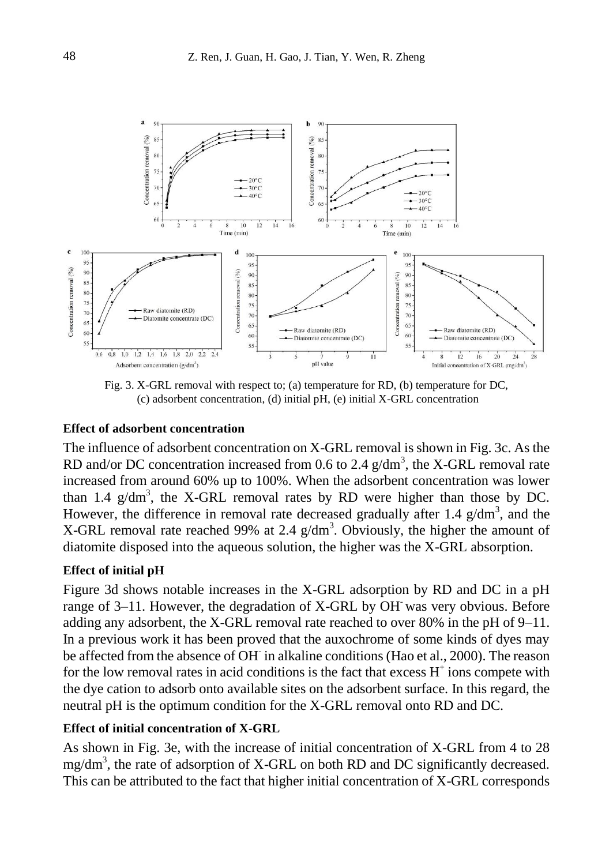

Fig. 3. X-GRL removal with respect to; (a) temperature for RD, (b) temperature for DC, (c) adsorbent concentration, (d) initial pH, (e) initial X-GRL concentration

#### **Effect of adsorbent concentration**

The influence of adsorbent concentration on X-GRL removal is shown in Fig. 3c. As the RD and/or DC concentration increased from 0.6 to 2.4  $g/dm<sup>3</sup>$ , the X-GRL removal rate increased from around 60% up to 100%. When the adsorbent concentration was lower than 1.4  $g/dm^3$ , the X-GRL removal rates by RD were higher than those by DC. However, the difference in removal rate decreased gradually after 1.4  $g/dm<sup>3</sup>$ , and the X-GRL removal rate reached 99% at 2.4  $g/dm<sup>3</sup>$ . Obviously, the higher the amount of diatomite disposed into the aqueous solution, the higher was the X-GRL absorption.

### **Effect of initial pH**

Figure 3d shows notable increases in the X-GRL adsorption by RD and DC in a pH range of 3–11. However, the degradation of X-GRL by OH- was very obvious. Before adding any adsorbent, the X-GRL removal rate reached to over 80% in the pH of 9–11. In a previous work it has been proved that the auxochrome of some kinds of dyes may be affected from the absence of OH in alkaline conditions (Hao et al., 2000). The reason for the low removal rates in acid conditions is the fact that excess  $H^+$  ions compete with the dye cation to adsorb onto available sites on the adsorbent surface. In this regard, the neutral pH is the optimum condition for the X-GRL removal onto RD and DC.

### **Effect of initial concentration of X-GRL**

As shown in Fig. 3e, with the increase of initial concentration of X-GRL from 4 to 28 mg/dm<sup>3</sup>, the rate of adsorption of X-GRL on both RD and DC significantly decreased. This can be attributed to the fact that higher initial concentration of X-GRL corresponds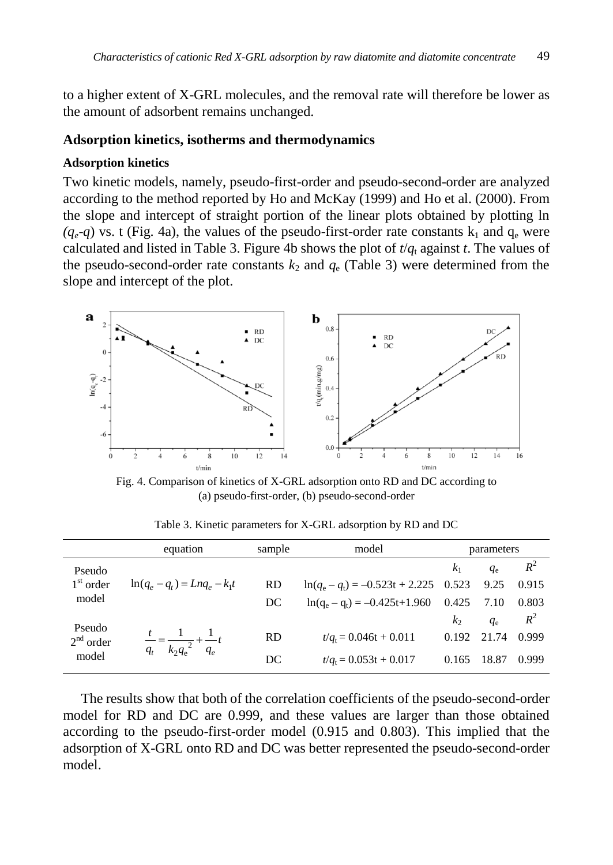to a higher extent of X-GRL molecules, and the removal rate will therefore be lower as the amount of adsorbent remains unchanged.

#### **Adsorption kinetics, isotherms and thermodynamics**

#### **Adsorption kinetics**

Two kinetic models, namely, pseudo-first-order and pseudo-second-order are analyzed according to the method reported by Ho and McKay (1999) and Ho et al. (2000). From the slope and intercept of straight portion of the linear plots obtained by plotting ln  $(q_e-q)$  vs. t (Fig. 4a), the values of the pseudo-first-order rate constants  $k_1$  and  $q_e$  were calculated and listed in Table 3. Figure 4b shows the plot of  $t/q_t$  against *t*. The values of the pseudo-second-order rate constants  $k_2$  and  $q_e$  (Table 3) were determined from the slope and intercept of the plot.



Fig. 4. Comparison of kinetics of X-GRL adsorption onto RD and DC according to (a) pseudo-first-order, (b) pseudo-second-order

|                      | equation                                                  | sample    | model                                    |                | parameters  |       |
|----------------------|-----------------------------------------------------------|-----------|------------------------------------------|----------------|-------------|-------|
| Pseudo               |                                                           |           |                                          | k <sub>1</sub> | $q_{\rm e}$ | $R^2$ |
| $1st$ order          | $\ln(q_a - q_t) = L n q_a - k_1 t$                        | <b>RD</b> | $\ln(q_e - q_t) = -0.523t + 2.225$ 0.523 |                | 9.25        | 0.915 |
| model                |                                                           | DC        | $ln(q_e - q_t) = -0.425t + 1.960$        | 0.425          | 7.10        | 0.803 |
| Pseudo               |                                                           |           |                                          | k <sub>2</sub> | $q_{\rm e}$ | $R^2$ |
| $2nd$ order<br>model | $\frac{t}{q_t} = \frac{1}{k_2 {q_e}^2} + \frac{1}{q_e} t$ | <b>RD</b> | $t/a = 0.046t + 0.011$                   | 0.192          | 21.74       | 0.999 |
|                      |                                                           | DC        | $t/at = 0.053t + 0.017$                  | 0.165          | 18.87       | 0.999 |

Table 3. Kinetic parameters for X-GRL adsorption by RD and DC

The results show that both of the correlation coefficients of the pseudo-second-order model for RD and DC are 0.999, and these values are larger than those obtained according to the pseudo-first-order model (0.915 and 0.803). This implied that the adsorption of X-GRL onto RD and DC was better represented the pseudo-second-order model.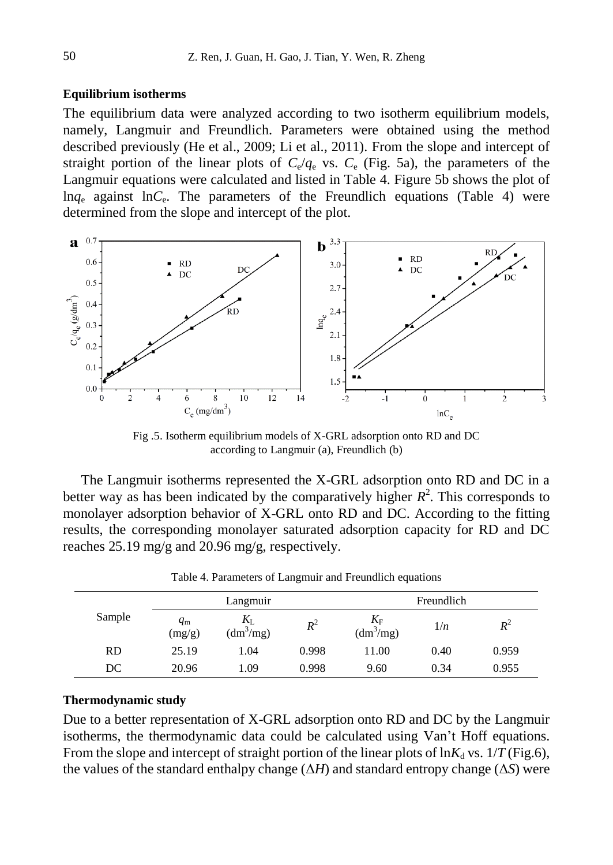### **Equilibrium isotherms**

The equilibrium data were analyzed according to two isotherm equilibrium models, namely, Langmuir and Freundlich. Parameters were obtained using the method described previously (He et al., 2009; Li et al., 2011). From the slope and intercept of straight portion of the linear plots of  $C_e/q_e$  vs.  $C_e$  (Fig. 5a), the parameters of the Langmuir equations were calculated and listed in Table 4. Figure 5b shows the plot of ln*q*<sup>e</sup> against ln*C*<sup>e</sup> . The parameters of the Freundlich equations (Table 4) were determined from the slope and intercept of the plot.



Fig .5. Isotherm equilibrium models of X-GRL adsorption onto RD and DC according to Langmuir (a), Freundlich (b)

The Langmuir isotherms represented the X-GRL adsorption onto RD and DC in a better way as has been indicated by the comparatively higher  $R^2$ . This corresponds to monolayer adsorption behavior of X-GRL onto RD and DC. According to the fitting results, the corresponding monolayer saturated adsorption capacity for RD and DC reaches 25.19 mg/g and 20.96 mg/g, respectively.

|           | Langmuir              |                    |       | Freundlich                     |      |       |
|-----------|-----------------------|--------------------|-------|--------------------------------|------|-------|
| Sample    | $q_{\rm m}$<br>(mg/g) | ΔJ.<br>$(dm^3/mg)$ | $R^2$ | $K_F$<br>(dm <sup>3</sup> /mg) | 1/n  | $R^2$ |
| <b>RD</b> | 25.19                 | 1.04               | 0.998 | 11.00                          | 0.40 | 0.959 |
| DC        | 20.96                 | 1.09               | 0.998 | 9.60                           | 0.34 | 0.955 |

Table 4. Parameters of Langmuir and Freundlich equations

### **Thermodynamic study**

Due to a better representation of X-GRL adsorption onto RD and DC by the Langmuir isotherms, the thermodynamic data could be calculated using Van't Hoff equations. From the slope and intercept of straight portion of the linear plots of  $\ln K_d$  vs.  $1/T$  (Fig.6), the values of the standard enthalpy change  $(\Delta H)$  and standard entropy change  $(\Delta S)$  were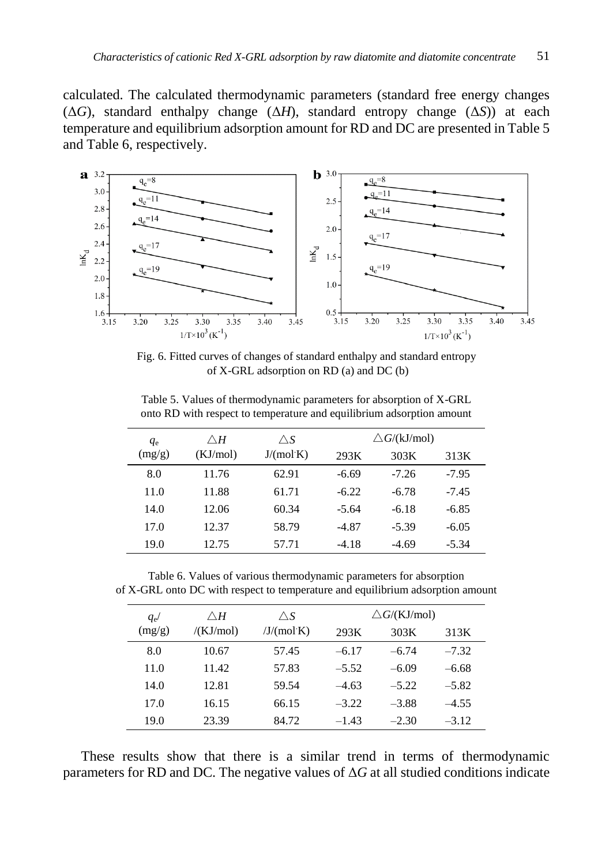calculated. The calculated thermodynamic parameters (standard free energy changes (Δ*G*), standard enthalpy change (Δ*H*), standard entropy change (Δ*S*)) at each temperature and equilibrium adsorption amount for RD and DC are presented in Table 5 and Table 6, respectively.



Fig. 6. Fitted curves of changes of standard enthalpy and standard entropy of X-GRL adsorption on RD (a) and DC (b)

| $q_{e}$ | $\wedge$ H | $\triangle S$ | $\triangle G/(kJ/mol)$ |         |         |  |
|---------|------------|---------------|------------------------|---------|---------|--|
| (mg/g)  | (KJ/mol)   | J/(mol·K)     | 293K                   | 303K    | 313K    |  |
| 8.0     | 11.76      | 62.91         | $-6.69$                | $-7.26$ | $-7.95$ |  |
| 11.0    | 11.88      | 61.71         | $-6.22$                | $-6.78$ | $-7.45$ |  |
| 14.0    | 12.06      | 60.34         | $-5.64$                | $-6.18$ | $-6.85$ |  |
| 17.0    | 12.37      | 58.79         | $-4.87$                | $-5.39$ | $-6.05$ |  |
| 19.0    | 12.75      | 57.71         | $-4.18$                | $-4.69$ | $-5.34$ |  |

Table 5. Values of thermodynamic parameters for absorption of X-GRL onto RD with respect to temperature and equilibrium adsorption amount

Table 6. Values of various thermodynamic parameters for absorption of X-GRL onto DC with respect to temperature and equilibrium adsorption amount

| $q_{\rm e}$ | $\wedge$ H | $\triangle S$ | $\triangle G/(K J/mol)$ |         |         |
|-------------|------------|---------------|-------------------------|---------|---------|
| (mg/g)      | /(KJ/mol)  | /J/(mol·K)    | 293K                    | 303K    | 313K    |
| 8.0         | 10.67      | 57.45         | $-6.17$                 | $-6.74$ | $-7.32$ |
| 11.0        | 11.42      | 57.83         | $-5.52$                 | $-6.09$ | $-6.68$ |
| 14.0        | 12.81      | 59.54         | $-4.63$                 | $-5.22$ | $-5.82$ |
| 17.0        | 16.15      | 66.15         | $-3.22$                 | $-3.88$ | $-4.55$ |
| 19.0        | 23.39      | 84.72         | $-1.43$                 | $-2.30$ | $-3.12$ |

These results show that there is a similar trend in terms of thermodynamic parameters for RD and DC. The negative values of  $\Delta G$  at all studied conditions indicate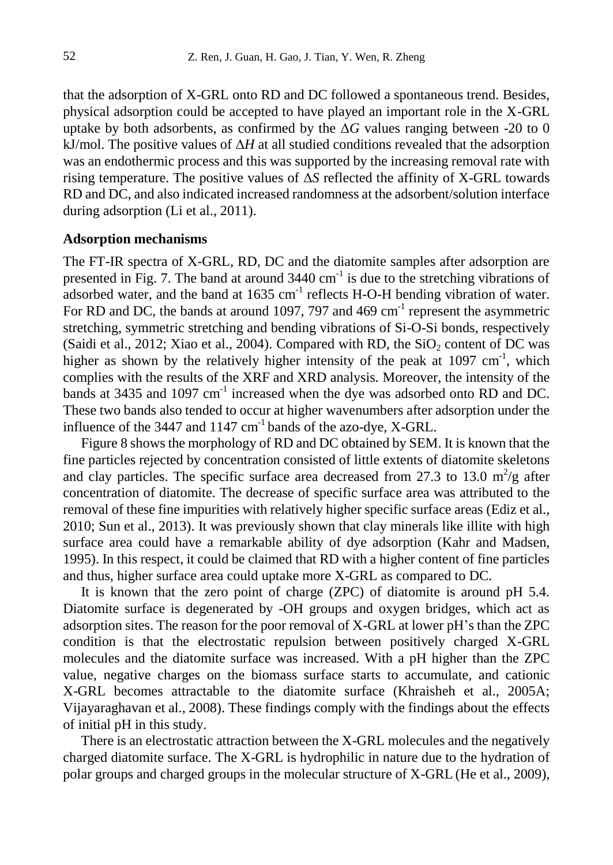that the adsorption of X-GRL onto RD and DC followed a spontaneous trend. Besides, physical adsorption could be accepted to have played an important role in the X-GRL uptake by both adsorbents, as confirmed by the  $\Delta G$  values ranging between -20 to 0 kJ/mol. The positive values of Δ*H* at all studied conditions revealed that the adsorption was an endothermic process and this was supported by the increasing removal rate with rising temperature. The positive values of Δ*S* reflected the affinity of X-GRL towards RD and DC, and also indicated increased randomness at the adsorbent/solution interface during adsorption (Li et al., 2011).

### **Adsorption mechanisms**

The FT-IR spectra of X-GRL, RD, DC and the diatomite samples after adsorption are presented in Fig. 7. The band at around  $3440 \text{ cm}^{-1}$  is due to the stretching vibrations of adsorbed water, and the band at  $1635 \text{ cm}^{-1}$  reflects H-O-H bending vibration of water. For RD and DC, the bands at around 1097, 797 and 469  $cm^{-1}$  represent the asymmetric stretching, symmetric stretching and bending vibrations of Si-O-Si bonds, respectively (Saidi et al., 2012; Xiao et al., 2004). Compared with RD, the  $SiO<sub>2</sub>$  content of DC was higher as shown by the relatively higher intensity of the peak at  $1097 \text{ cm}^{-1}$ , which complies with the results of the XRF and XRD analysis. Moreover, the intensity of the bands at 3435 and 1097  $cm^{-1}$  increased when the dye was adsorbed onto RD and DC. These two bands also tended to occur at higher wavenumbers after adsorption under the influence of the  $3447$  and  $1147 \text{ cm}^{-1}$  bands of the azo-dye, X-GRL.

Figure 8 shows the morphology of RD and DC obtained by SEM. It is known that the fine particles rejected by concentration consisted of little extents of diatomite skeletons and clay particles. The specific surface area decreased from 27.3 to 13.0  $m^2/g$  after concentration of diatomite. The decrease of specific surface area was attributed to the removal of these fine impurities with relatively higher specific surface areas (Ediz et al., 2010; Sun et al., 2013). It was previously shown that clay minerals like illite with high surface area could have a remarkable ability of dye adsorption (Kahr and Madsen, 1995). In this respect, it could be claimed that RD with a higher content of fine particles and thus, higher surface area could uptake more X-GRL as compared to DC.

It is known that the zero point of charge (ZPC) of diatomite is around pH 5.4. Diatomite surface is degenerated by -OH groups and oxygen bridges, which act as adsorption sites. The reason for the poor removal of X-GRL at lower pH's than the ZPC condition is that the electrostatic repulsion between positively charged X-GRL molecules and the diatomite surface was increased. With a pH higher than the ZPC value, negative charges on the biomass surface starts to accumulate, and cationic X-GRL becomes attractable to the diatomite surface (Khraisheh et al., 2005A; Vijayaraghavan et al., 2008). These findings comply with the findings about the effects of initial pH in this study.

There is an electrostatic attraction between the X-GRL molecules and the negatively charged diatomite surface. The X-GRL is hydrophilic in nature due to the hydration of polar groups and charged groups in the molecular structure of X-GRL (He et al., 2009),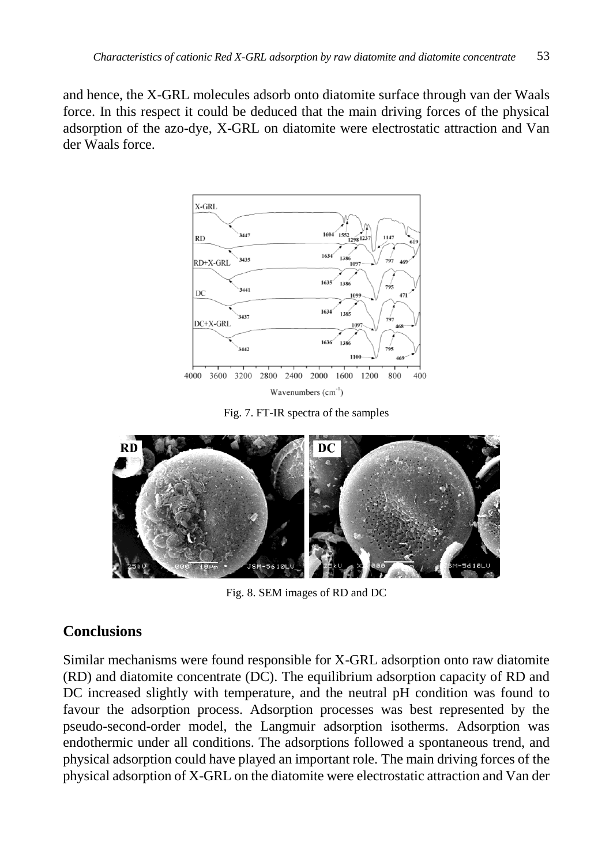and hence, the X-GRL molecules adsorb onto diatomite surface through van der Waals force. In this respect it could be deduced that the main driving forces of the physical adsorption of the azo-dye, X-GRL on diatomite were electrostatic attraction and Van der Waals force.



Fig. 7. FT-IR spectra of the samples



Fig. 8. SEM images of RD and DC

# **Conclusions**

Similar mechanisms were found responsible for X-GRL adsorption onto raw diatomite (RD) and diatomite concentrate (DC). The equilibrium adsorption capacity of RD and DC increased slightly with temperature, and the neutral pH condition was found to favour the adsorption process. Adsorption processes was best represented by the pseudo-second-order model, the Langmuir adsorption isotherms. Adsorption was endothermic under all conditions. The adsorptions followed a spontaneous trend, and physical adsorption could have played an important role. The main driving forces of the physical adsorption of X-GRL on the diatomite were electrostatic attraction and Van der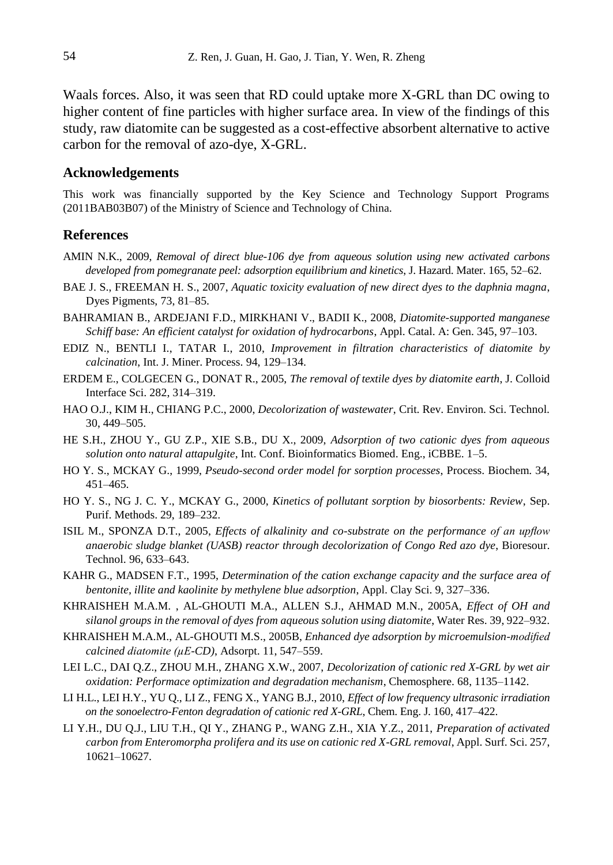Waals forces. Also, it was seen that RD could uptake more X-GRL than DC owing to higher content of fine particles with higher surface area. In view of the findings of this study, raw diatomite can be suggested as a cost-effective absorbent alternative to active carbon for the removal of azo-dye, X-GRL.

#### **Acknowledgements**

This work was financially supported by the Key Science and Technology Support Programs (2011BAB03B07) of the Ministry of Science and Technology of China.

#### **References**

- AMIN N.K., 2009, *Removal of direct blue-106 dye from aqueous solution using new activated carbons developed from pomegranate peel: adsorption equilibrium and kinetics*, J. Hazard. Mater. 165, 52–62.
- BAE J. S., FREEMAN H. S., 2007, *Aquatic toxicity evaluation of new direct dyes to the daphnia magna*, Dyes Pigments, 73, 81–85.
- BAHRAMIAN B., ARDEJANI F.D., MIRKHANI V., BADII K., 2008, *Diatomite-supported manganese Schiff base: An efficient catalyst for oxidation of hydrocarbons*, Appl. Catal. A: Gen. 345, 97–103.
- EDIZ N., BENTLI I., TATAR I., 2010, *Improvement in filtration characteristics of diatomite by calcination*, Int. J. Miner. Process. 94, 129–134.
- ERDEM E., COLGECEN G., DONAT R., 2005, *The removal of textile dyes by diatomite earth*, J. Colloid Interface Sci. 282, 314–319.
- HAO O.J., KIM H., CHIANG P.C., 2000, *Decolorization of wastewater*, Crit. Rev. Environ. Sci. Technol. 30, 449–505.
- HE S.H., ZHOU Y., GU Z.P., XIE S.B., DU X., 2009, *Adsorption of two cationic dyes from aqueous solution onto natural attapulgite*, Int. Conf. Bioinformatics Biomed. Eng., iCBBE. 1–5.
- HO Y. S., MCKAY G., 1999, *Pseudo-second order model for sorption processes*, Process. Biochem. 34, 451–465.
- HO Y. S., NG J. C. Y., MCKAY G., 2000, *Kinetics of pollutant sorption by biosorbents: Review*, Sep. Purif. Methods. 29, 189–232.
- ISIL M., SPONZA D.T., 2005, *Effects of alkalinity and co-substrate on the performance of an upflow anaerobic sludge blanket (UASB) reactor through decolorization of Congo Red azo dye*, Bioresour. Technol. 96, 633–643.
- KAHR G., MADSEN F.T., 1995, *Determination of the cation exchange capacity and the surface area of bentonite, illite and kaolinite by methylene blue adsorption*, Appl. Clay Sci. 9, 327–336.
- KHRAISHEH M.A.M. , AL-GHOUTI M.A., ALLEN S.J., AHMAD M.N., 2005A, *Effect of OH and silanol groups in the removal of dyes from aqueous solution using diatomite*, Water Res. 39, 922–932.
- KHRAISHEH M.A.M., AL-GHOUTI M.S., 2005B, *Enhanced dye adsorption by microemulsion-modified calcined diatomite (µE-CD)*, Adsorpt. 11, 547–559.
- LEI L.C., DAI Q.Z., ZHOU M.H., ZHANG X.W., 2007, *Decolorization of cationic red X-GRL by wet air oxidation: Performace optimization and degradation mechanism*, Chemosphere. 68, 1135–1142.
- LI H.L., LEI H.Y., YU Q., LI Z., FENG X., YANG B.J., 2010, *Effect of low frequency ultrasonic irradiation on the sonoelectro-Fenton degradation of cationic red X-GRL*, Chem. Eng. J. 160, 417–422.
- LI Y.H., DU Q.J., LIU T.H., QI Y., ZHANG P., WANG Z.H., XIA Y.Z., 2011, *Preparation of activated carbon from Enteromorpha prolifera and its use on cationic red X-GRL removal*, Appl. Surf. Sci. 257, 10621–10627.